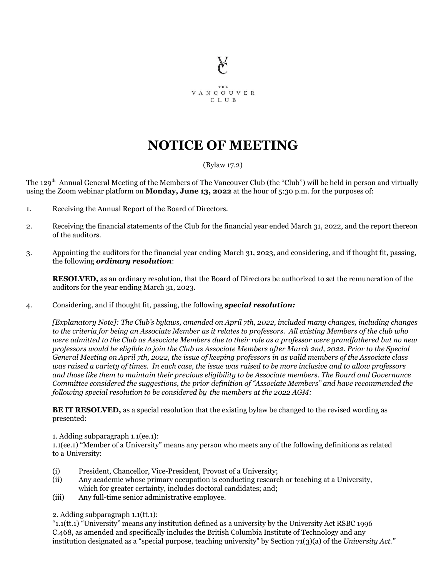

THE **VANCOUVER** C L U B

## **NOTICE OF MEETING**

## (Bylaw 17.2)

The 129<sup>th</sup> Annual General Meeting of the Members of The Vancouver Club (the "Club") will be held in person and virtually using the Zoom webinar platform on **Monday, June 13, 2022** at the hour of 5:30 p.m. for the purposes of:

- 1. Receiving the Annual Report of the Board of Directors.
- 2. Receiving the financial statements of the Club for the financial year ended March 31, 2022, and the report thereon of the auditors.
- 3. Appointing the auditors for the financial year ending March 31, 2023, and considering, and if thought fit, passing, the following *ordinary resolution*:

**RESOLVED,** as an ordinary resolution, that the Board of Directors be authorized to set the remuneration of the auditors for the year ending March 31, 2023.

## 4. Considering, and if thought fit, passing, the following *special resolution:*

*[Explanatory Note]: The Club's bylaws, amended on April 7th, 2022, included many changes, including changes* to the criteria for being an Associate Member as it relates to professors. All existing Members of the club who were admitted to the Club as Associate Members due to their role as a professor were grandfathered but no new professors would be eligible to join the Club as Associate Members after March 2nd, 2022. Prior to the Special General Meeting on April 7th, 2022, the issue of keeping professors in as valid members of the Associate class was raised a variety of times. In each case, the issue was raised to be more inclusive and to allow professors and those like them to maintain their previous eligibility to be Associate members. The Board and Governance *Committee considered the suggestions, the prior definition of "Associate Members" and have recommended the following special resolution to be considered by the members at the 2022 AGM:*

**BE IT RESOLVED,** as a special resolution that the existing bylaw be changed to the revised wording as presented:

1. Adding subparagraph 1.1(ee.1):

1.1(ee.1) "Member of a University" means any person who meets any of the following definitions as related to a University:

- (i) President, Chancellor, Vice-President, Provost of a University;
- (ii) Any academic whose primary occupation is conducting research or teaching at a University, which for greater certainty, includes doctoral candidates; and;
- (iii) Any full-time senior administrative employee.

2. Adding subparagraph 1.1(tt.1):

"1.1(tt.1) "University" means any institution defined as a university by the University Act RSBC 1996 C.468, as amended and specifically includes the British Columbia Institute of Technology and any institution designated as a "special purpose, teaching university" by Section 71(3)(a) of the *University Act."*